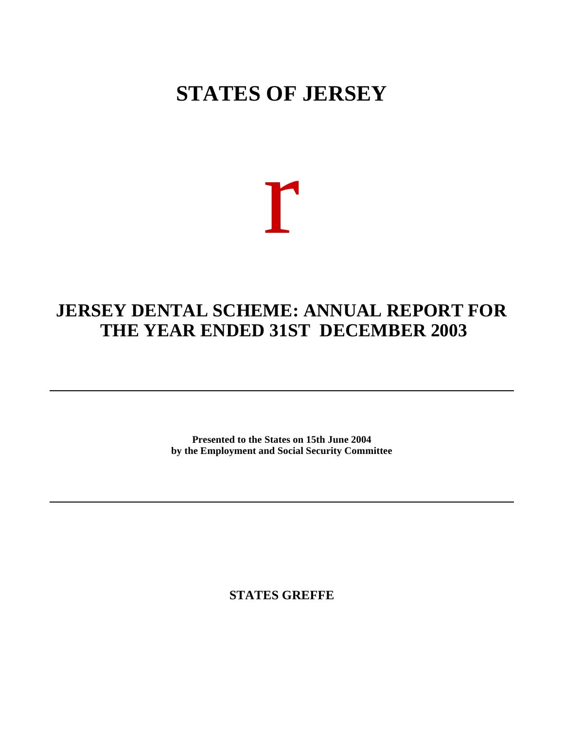## **STATES OF JERSEY**

# r

### **JERSEY DENTAL SCHEME: ANNUAL REPORT FOR THE YEAR ENDED 31ST DECEMBER 2003**

**Presented to the States on 15th June 2004 by the Employment and Social Security Committee**

**STATES GREFFE**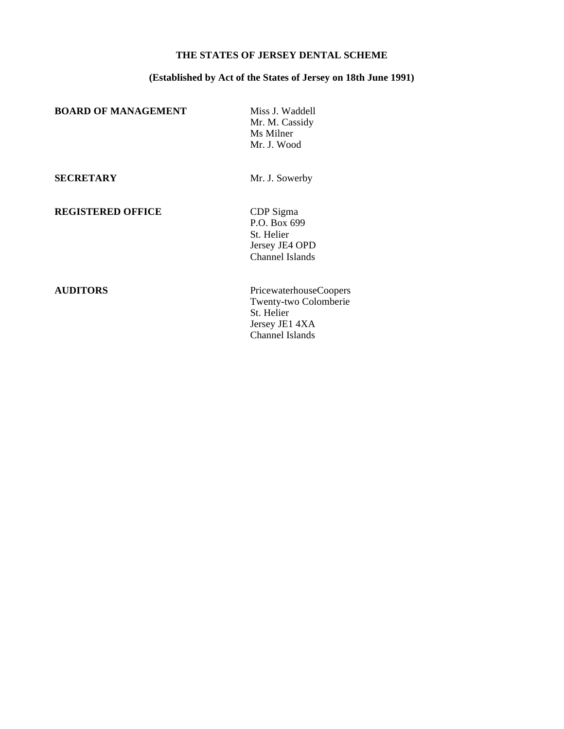#### **THE STATES OF JERSEY DENTAL SCHEME**

#### **(Established by Act of the States of Jersey on 18th June 1991)**

**BOARD OF MANAGEMENT** Miss J. Waddell

Mr. M. Cassidy Ms Milner Mr. J. Wood

**SECRETARY** Mr. J. Sowerby

**REGISTERED OFFICE** CDP Sigma

P.O. Box 699 St. Helier Jersey JE4 OPD Channel Islands

**AUDITORS** PricewaterhouseCoopers Twenty-two Colomberie St. Helier Jersey JE1 4XA Channel Islands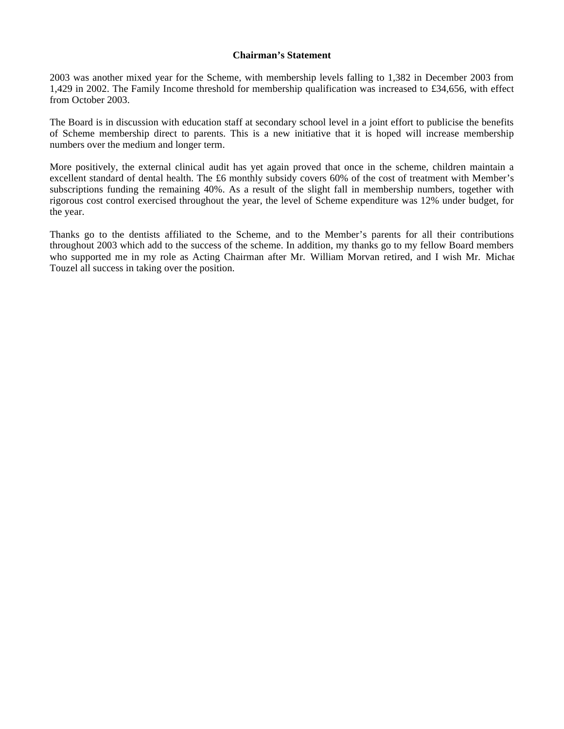#### **Chairman's Statement**

2003 was another mixed year for the Scheme, with membership levels falling to 1,382 in December 2003 from 1,429 in 2002. The Family Income threshold for membership qualification was increased to £34,656, with effect from October 2003.

The Board is in discussion with education staff at secondary school level in a joint effort to publicise the benefits of Scheme membership direct to parents. This is a new initiative that it is hoped will increase membership numbers over the medium and longer term.

More positively, the external clinical audit has yet again proved that once in the scheme, children maintain a excellent standard of dental health. The £6 monthly subsidy covers 60% of the cost of treatment with Member's subscriptions funding the remaining 40%. As a result of the slight fall in membership numbers, together with rigorous cost control exercised throughout the year, the level of Scheme expenditure was 12% under budget, for the year.

Thanks go to the dentists affiliated to the Scheme, and to the Member's parents for all their contributions throughout 2003 which add to the success of the scheme. In addition, my thanks go to my fellow Board members who supported me in my role as Acting Chairman after Mr. William Morvan retired, and I wish Mr. Michael Touzel all success in taking over the position.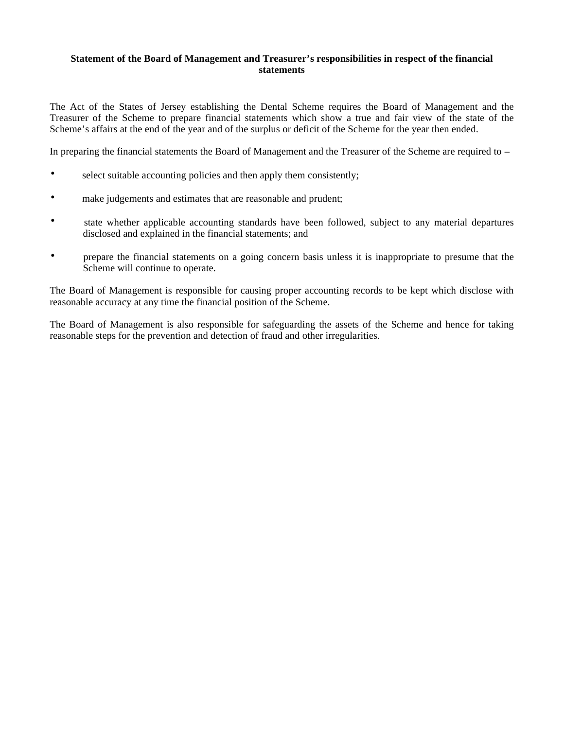#### **Statement of the Board of Management and Treasurer's responsibilities in respect of the financial statements**

The Act of the States of Jersey establishing the Dental Scheme requires the Board of Management and the Treasurer of the Scheme to prepare financial statements which show a true and fair view of the state of the Scheme's affairs at the end of the year and of the surplus or deficit of the Scheme for the year then ended.

In preparing the financial statements the Board of Management and the Treasurer of the Scheme are required to –

- select suitable accounting policies and then apply them consistently;
- make judgements and estimates that are reasonable and prudent;
- state whether applicable accounting standards have been followed, subject to any material departures disclosed and explained in the financial statements; and
- prepare the financial statements on a going concern basis unless it is inappropriate to presume that the Scheme will continue to operate.

The Board of Management is responsible for causing proper accounting records to be kept which disclose with reasonable accuracy at any time the financial position of the Scheme.

The Board of Management is also responsible for safeguarding the assets of the Scheme and hence for taking reasonable steps for the prevention and detection of fraud and other irregularities.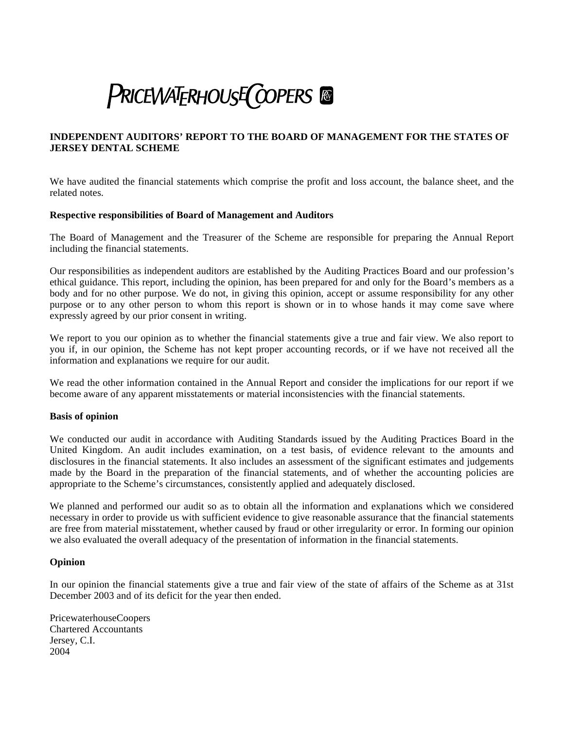# **PRICEWATERHOUSE COPERS**

#### **INDEPENDENT AUDITORS' REPORT TO THE BOARD OF MANAGEMENT FOR THE STATES OF JERSEY DENTAL SCHEME**

We have audited the financial statements which comprise the profit and loss account, the balance sheet, and the related notes*.*

#### **Respective responsibilities of Board of Management and Auditors**

The Board of Management and the Treasurer of the Scheme are responsible for preparing the Annual Report including the financial statements.

Our responsibilities as independent auditors are established by the Auditing Practices Board and our profession's ethical guidance. This report, including the opinion, has been prepared for and only for the Board's members as a body and for no other purpose. We do not, in giving this opinion, accept or assume responsibility for any other purpose or to any other person to whom this report is shown or in to whose hands it may come save where expressly agreed by our prior consent in writing.

We report to you our opinion as to whether the financial statements give a true and fair view. We also report to you if, in our opinion, the Scheme has not kept proper accounting records, or if we have not received all the information and explanations we require for our audit.

We read the other information contained in the Annual Report and consider the implications for our report if we become aware of any apparent misstatements or material inconsistencies with the financial statements.

#### **Basis of opinion**

We conducted our audit in accordance with Auditing Standards issued by the Auditing Practices Board in the United Kingdom. An audit includes examination, on a test basis, of evidence relevant to the amounts and disclosures in the financial statements. It also includes an assessment of the significant estimates and judgements made by the Board in the preparation of the financial statements, and of whether the accounting policies are appropriate to the Scheme's circumstances, consistently applied and adequately disclosed.

We planned and performed our audit so as to obtain all the information and explanations which we considered necessary in order to provide us with sufficient evidence to give reasonable assurance that the financial statements are free from material misstatement, whether caused by fraud or other irregularity or error. In forming our opinion we also evaluated the overall adequacy of the presentation of information in the financial statements.

#### **Opinion**

In our opinion the financial statements give a true and fair view of the state of affairs of the Scheme as at 31st December 2003 and of its deficit for the year then ended.

PricewaterhouseCoopers Chartered Accountants Jersey, C.I. 2004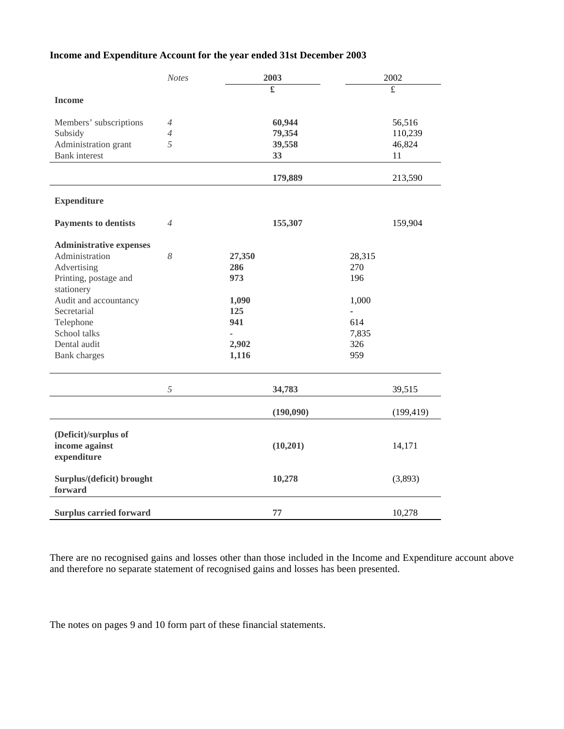#### **Income and Expenditure Account for the year ended 31st December 2003**

|                                | <b>Notes</b>   | 2003   |           |                | 2002       |  |
|--------------------------------|----------------|--------|-----------|----------------|------------|--|
|                                |                |        | £         |                | £          |  |
| <b>Income</b>                  |                |        |           |                |            |  |
| Members' subscriptions         | $\overline{A}$ |        | 60,944    |                | 56,516     |  |
| Subsidy                        | $\overline{4}$ |        | 79,354    |                | 110,239    |  |
| Administration grant           | 5              |        | 39,558    |                | 46,824     |  |
| <b>Bank</b> interest           |                |        | 33        |                | 11         |  |
|                                |                |        | 179,889   |                | 213,590    |  |
| <b>Expenditure</b>             |                |        |           |                |            |  |
| <b>Payments to dentists</b>    | $\overline{4}$ |        | 155,307   |                | 159,904    |  |
| <b>Administrative expenses</b> |                |        |           |                |            |  |
| Administration                 | 8              | 27,350 |           | 28,315         |            |  |
| Advertising                    |                | 286    |           | 270            |            |  |
| Printing, postage and          |                | 973    |           | 196            |            |  |
| stationery                     |                |        |           |                |            |  |
| Audit and accountancy          |                | 1,090  |           | 1,000          |            |  |
| Secretarial                    |                | 125    |           | $\overline{a}$ |            |  |
| Telephone                      |                | 941    |           | 614            |            |  |
| School talks                   |                |        |           | 7,835          |            |  |
| Dental audit                   |                | 2,902  |           | 326            |            |  |
| <b>Bank</b> charges            |                | 1,116  |           | 959            |            |  |
|                                | 5              |        | 34,783    |                | 39,515     |  |
|                                |                |        |           |                |            |  |
|                                |                |        | (190,090) |                | (199, 419) |  |
| (Deficit)/surplus of           |                |        |           |                |            |  |
| income against                 |                |        | (10, 201) |                | 14,171     |  |
| expenditure                    |                |        |           |                |            |  |
| Surplus/(deficit) brought      |                |        | 10,278    |                | (3,893)    |  |
| forward                        |                |        |           |                |            |  |
|                                |                |        | 77        |                |            |  |
| <b>Surplus carried forward</b> |                |        |           |                | 10,278     |  |

There are no recognised gains and losses other than those included in the Income and Expenditure account above and therefore no separate statement of recognised gains and losses has been presented.

The notes on pages 9 and 10 form part of these financial statements.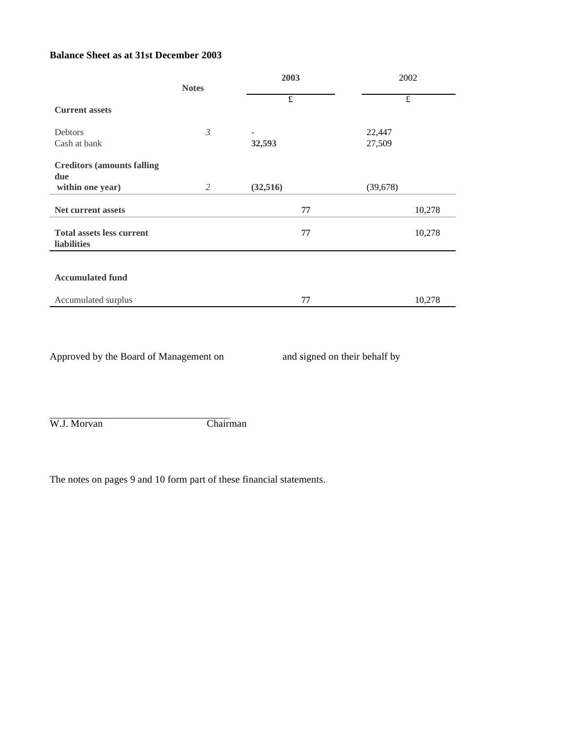#### **Balance Sheet as at 31st December 2003**

|                                                 |                | 2003     | 2002                    |  |
|-------------------------------------------------|----------------|----------|-------------------------|--|
|                                                 | <b>Notes</b>   |          |                         |  |
| <b>Current assets</b>                           |                | £        | $\overline{\mathbf{f}}$ |  |
|                                                 |                |          |                         |  |
| Debtors                                         | $\mathfrak{Z}$ | ۰        | 22,447                  |  |
| Cash at bank                                    |                | 32,593   | 27,509                  |  |
| <b>Creditors (amounts falling)</b>              |                |          |                         |  |
| due                                             |                |          |                         |  |
| within one year)                                | 2              | (32,516) | (39, 678)               |  |
| Net current assets                              |                | 77       | 10,278                  |  |
| <b>Total assets less current</b><br>liabilities |                | 77       | 10,278                  |  |
|                                                 |                |          |                         |  |
| <b>Accumulated fund</b>                         |                |          |                         |  |
| Accumulated surplus                             |                | 77       | 10,278                  |  |

Approved by the Board of Management on and signed on their behalf by

W.J. Morvan Chairman

The notes on pages 9 and 10 form part of these financial statements.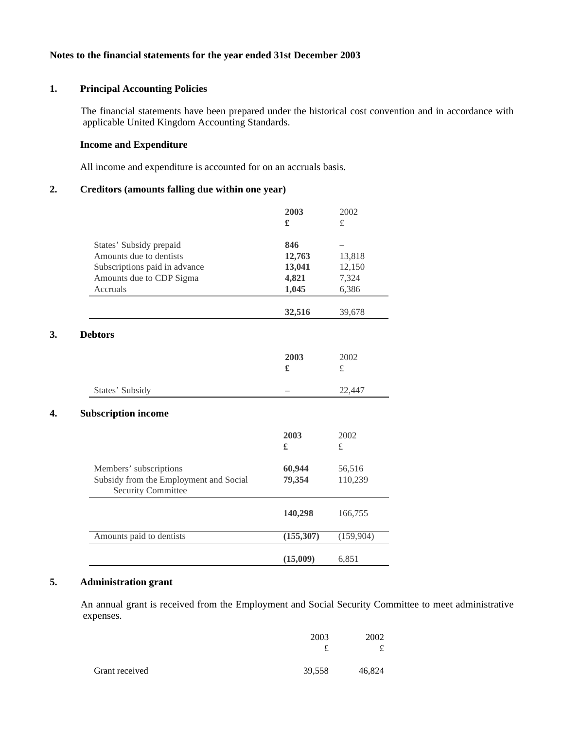#### **Notes to the financial statements for the year ended 31st December 2003**

#### **1. Principal Accounting Policies**

 The financial statements have been prepared under the historical cost convention and in accordance with applicable United Kingdom Accounting Standards.

#### **Income and Expenditure**

All income and expenditure is accounted for on an accruals basis.

#### **2. Creditors (amounts falling due within one year)**

|                                                                     | 2003       | 2002      |
|---------------------------------------------------------------------|------------|-----------|
|                                                                     | £          | £         |
| States' Subsidy prepaid                                             | 846        |           |
| Amounts due to dentists                                             | 12,763     | 13,818    |
| Subscriptions paid in advance                                       | 13,041     | 12,150    |
| Amounts due to CDP Sigma                                            | 4,821      | 7,324     |
| Accruals                                                            | 1,045      | 6,386     |
|                                                                     | 32,516     | 39,678    |
| <b>Debtors</b>                                                      |            |           |
|                                                                     | 2003       | 2002      |
|                                                                     | £          | $\pounds$ |
| States' Subsidy                                                     |            | 22,447    |
| <b>Subscription income</b>                                          |            |           |
|                                                                     | 2003       | 2002      |
|                                                                     | £          | £         |
| Members' subscriptions                                              | 60,944     | 56,516    |
| Subsidy from the Employment and Social<br><b>Security Committee</b> | 79,354     | 110,239   |
|                                                                     | 140,298    | 166,755   |
| Amounts paid to dentists                                            | (155, 307) | (159,904) |
|                                                                     |            |           |

#### **5. Administration grant**

 An annual grant is received from the Employment and Social Security Committee to meet administrative expenses.

|                | 2003   | 2002   |
|----------------|--------|--------|
| Grant received | 39,558 | 46,824 |